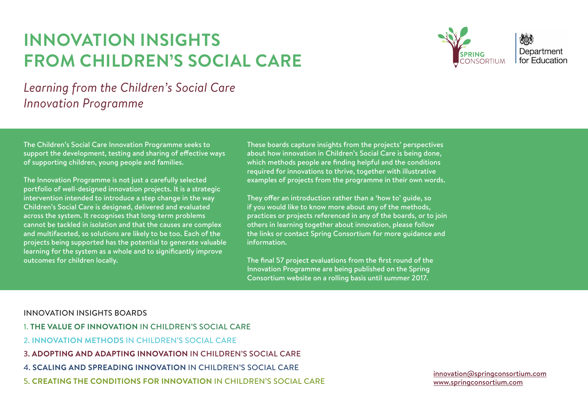# **INNOVATION INSIGHTS FROM CHILDREN'S SOCIAL CARE**



*Learning from the Children's Social Care Innovation Programme*

The Children's Social Care Innovation Programme seeks to support the development, testing and sharing of effective ways of supporting children, young people and families.

The Innovation Programme is not just a carefully selected portfolio of well-designed innovation projects. It is a strategic intervention intended to introduce a step change in the way Children's Social Care is designed, delivered and evaluated across the system. It recognises that long-term problems cannot be tackled in isolation and that the causes are complex and multifaceted, so solutions are likely to be too. Each of the projects being supported has the potential to generate valuable learning for the system as a whole and to significantly improve outcomes for children locally.

These boards capture insights from the projects' perspectives about how innovation in Children's Social Care is being done, which methods people are finding helpful and the conditions required for innovations to thrive, together with illustrative examples of projects from the programme in their own words.

They offer an introduction rather than a 'how to' guide, so if you would like to know more about any of the methods, practices or projects referenced in any of the boards, or to join others in learning together about innovation, please follow the links or contact Spring Consortium for more guidance and information.

The final 57 project evaluations from the first round of the Innovation Programme are being published on the Spring Consortium website on a rolling basis until summer 2017.

#### INNOVATION INSIGHTS BOARDS

- 1. **THE VALUE OF INNOVATION** IN CHILDREN'S SOCIAL CARE
- 2. **INNOVATION METHODS** IN CHILDREN'S SOCIAL CARE
- 3. **ADOPTING AND ADAPTING INNOVATION** IN CHILDREN'S SOCIAL CARE
- 4. **SCALING AND SPREADING INNOVATION** IN CHILDREN'S SOCIAL CARE
- 5. **CREATING THE CONDITIONS FOR INNOVATION** IN CHILDREN'S SOCIAL CARE





[innovation@springconsortium.com](mailto:innovation%40springconsortium.com?subject=) [www.springconsortium.com](http://www.springconsortium.com)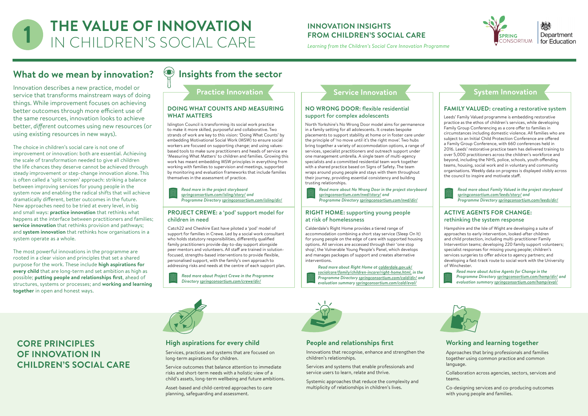# **CORE PRINCIPLES OF INNOVATION IN CHILDREN'S SOCIAL CARE**





#### **Working and learning together**

- Approaches that bring professionals and families together using common practice and common language.
- Collaboration across agencies, sectors, services and teams.
- Co-designing services and co-producing outcomes with young people and families.

#### **People and relationships first**

Innovations that recognise, enhance and strengthen the children's relationships.

Services and systems that enable professionals and service users to learn, relate and thrive.

Systemic approaches that reduce the complexity and multiplicity of relationships in children's lives.

#### **High aspirations for every child**

Services, practices and systems that are focused on long-term aspirations for children.

Service outcomes that balance attention to immediate risks and short-term needs with a holistic view of a child's assets, long-term wellbeing and future ambitions.

Asset-based and child-centred approaches to care planning, safeguarding and assessment.

#### **INNOVATION INSIGHTS FROM CHILDREN'S SOCIAL CARE**

# **What do we mean by innovation?**

Innovation describes a new practice, model or service that transforms mainstream ways of doing things. While improvement focuses on achieving better outcomes through more efficient use of the same resources, innovation looks to achieve better, *different* outcomes using new resources (or using existing resources in new ways).

The choice in children's social care is not one of improvement or innovation: both are essential. Achieving the scale of transformation needed to give all children the life chances they deserve cannot be achieved through steady improvement *or* step-change innovation alone. This is often called a 'split screen' approach: striking a balance between improving services for young people in the system now and enabling the radical shifts that will achieve dramatically different, better outcomes in the future. New approaches need to be tried at every level, in big and small ways: **practice innovation** that rethinks what happens at the interface between practitioners and families; **service innovation** that rethinks provision and pathways; and **system innovation** that rethinks how organisations in a system operate as a whole.

# **THE VALUE OF INNOVATION IN CHILDREN'S SOCIAL CARE**

The most powerful innovations in the programme are rooted in a clear vision and principles that set a shared purpose for the work. These include **high aspirations for every child** that are long-term and set ambition as high as possible; **putting people and relationships first**, ahead of structures, systems or processes; and **working and learning together** in open and honest ways.

# **Insights from the sector**

**Practice Innovation** 

#### **NO WRONG DOOR:** flexible residential support for complex adolescents

North Yorkshire's No Wrong Door model aims for permanence in a family setting for all adolescents. It creates bespoke placements to support stability at home or in foster care under the principle of 'no move until it's the right move'. Two hubs bring together a variety of accommodation options, a range of services, specialist practitioners and outreach support under one management umbrella. A single team of multi-agency specialists and a committed residential team work together with a shared practice based on Signs of Safety. The team wraps around young people and stays with them throughout their journey, providing essential consistency and building trusting relationships.

Catch22 and Cheshire East have piloted a 'pod' model of *TIPS* who holds statutory responsibilities, differently qualified support for families in Crewe. Led by a social work consultant family practitioners provide day-to-day support alongside peer mentors and volunteers. All staff are trained in solutionfocused, strengths-based interventions to provide flexible, personalised support, with the family's own approach to addressing risks and needs at the centre of each support plan. *Read more about Right Home at [calderdale.gov.uk/](http://calderdale.gov.uk/socialcare/family/children-incare/right-home.html)*

#### **DOING WHAT COUNTS AND MEASURING WHAT MATTERS**

Islington Council is transforming its social work practice to make it more skilled, purposeful and collaborative. Two strands of work are key to this vision: 'Doing What Counts' by embedding Motivational Social Work (MSW) to ensure social workers are focused on supporting change; and using valuesbased tools to make sure practitioners and heads of service are 'Measuring What Matters' to children and families. Growing this work has meant embedding MSW principles in everything from working with families to supervision and meetings, supported by monitoring and evaluation frameworks that include families themselves in the assessment of practice.

*Learning from the Children's Social Care Innovation Programme*

*Read more about No Wrong Door in the project storyboard [springconsortium.com/nwd/story/](http://springconsortium.com/nwd/story/) and Programme Directory [springconsortium.com/nwd/dir/](http://springconsortium.com/nwd/dir/)*

*Read more in the project storyboard [springconsortium.com/isling/story](http://springconsortium.com/isling/story/)/ and Programme Directory [springconsortium.com/isling/dir/](http://springconsortium.com/isling/dir/)*

## **Service Innovation**

#### **FAMILY VALUED:** creating a restorative system

Leeds' Family Valued programme is embedding restorative practice as the ethos of children's services, while developing Family Group Conferencing as a core offer to families in circumstances including domestic violence. All families who are subject to an Initial Child Protection Conference are offered a Family Group Conference, with 660 conferences held in 2016. Leeds' restorative practice team has delivered training to over 5,000 practitioners across the children's workforce and beyond, including the NHS, police, schools, youth offending teams, housing, social work and in voluntary and community organisations. Weekly data on progress is displayed visibly across the council to inspire and motivate staff.



#### **RIGHT HOME:** supporting young people at risk of homelessness

Calderdale's Right Home provides a tiered range of accommodation combining a short stay service (Sleep On It) for young people on the edge of care with supported housing options. All services are accessed through their 'one stop shop', the Vulnerable Young People's Panel, which develops and manages packages of support and creates alternative interventions.

#### **PROJECT CREWE:** a 'pod' support model for children in need

*[socialcare/family/children-incare/right-home.html](http://calderdale.gov.uk/socialcare/family/children-incare/right-home.html), in the Programme Directory [springconsortium.com/cald/dir/](http://springconsortium.com/cald/dir/) and evaluation summary [springconsortium.com/cald/eval/](http://springconsortium.com/cald/eval/)*



*Read more about Project Crewe in the Programme Directory [springconsortium.com/crewe/dir/](http://springconsortium.com/crewe/dir/)*



*Read more about Family Valued in the project storyboard [springconsortium.com/leeds/story/](http://springconsortium.com/leeds/story/) and Programme Directory [springconsortium.com/leeds/dir/](http://springconsortium.com/leeds/dir/)*

#### **ACTIVE AGENTS FOR CHANGE:**  rethinking the system response

Hampshire and the Isle of Wight are developing a suite of approaches to early intervention, looked-after children and child protection, including multi-practitioner Family Intervention teams; developing 220 family support volunteers; specialist responses for missing young people; children's services surgeries to offer advice to agency partners; and developing a fast-track route to social work with the University of Winchester.



*Read more about Active Agents for Change in the Programme Directory [springconsortium.com/hamp/dir/](http://springconsortium.com/hamp/dir/) and evaluation summary [springconsortium.com/hamp/eval/](http://springconsortium.com/hamp/eval/)*



## **System Innovation**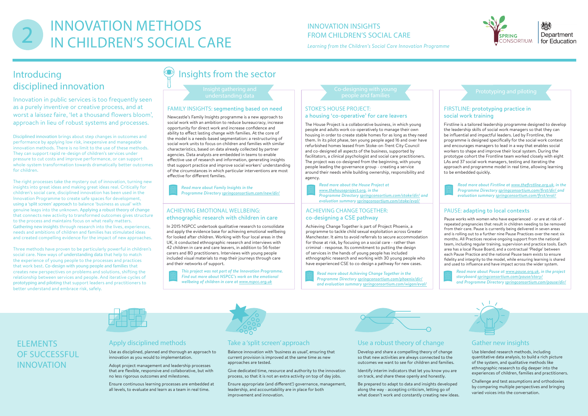# **FLEMENTS** OF SUCCESSFUL INNOVATION

### Take a 'split screen' approach

Balance innovation with 'business as usual', ensuring that current provision is improved at the same time as new approaches are tested.

Give dedicated time, resource and authority to the innovation process, so that it is not an extra activity on top of day jobs.

Ensure appropriate (and different!) governance, management, leadership, and accountability are in place for both improvement and innovation.

#### Use a robust theory of change

Develop and share a compelling theory of change so that new activities are always connected to the outcomes we want to see for children and families.

Identify interim indicators that let you know you are on track, and share these openly and honestly.

Be prepared to adapt to data and insights developed along the way - accepting criticism, letting go of what doesn't work and constantly creating new ideas.



Department for Fducation

#### Gather new insights

Use blended research methods, including quantitative data analysis, to build a rich picture of the system, and qualitative methods like ethnographic research to dig deeper into the experiences of children, families and practitioners.

Challenge and test assumptions and orthodoxies by comparing multiple perspectives and bringing varied voices into the conversation.

#### Apply disciplined methods

Use as disciplined, planned and thorough an approach to innovation as you would to implementation.

Adopt project management and leadership processes that are flexible, responsive and collaborative, but with no less rigorous outcomes and milestones.

Ensure continuous learning processes are embedded at all levels, to evaluate and learn as a team in real time.



# Introducing disciplined innovation

Innovation in public services is too frequently seen as a purely inventive or creative process, and at worst a laissez faire, 'let a thousand flowers bloom', approach in lieu of robust systems and processes.

Disciplined innovation brings about step changes in outcomes and performance by applying low risk, inexpensive and manageable innovation methods. There is no limit to the use of these methods. They can support rapid re-design of children's services under pressure to cut costs and improve performance, or can support whole-system transformation towards dramatically better outcomes for children.

Co-designing with young b-designing with young<br>
people and families Prototyping and piloting

The right processes take the mystery out of innovation, turning new insights into great ideas and making great ideas real. Critically for children's social care, disciplined innovation has been used in the Innovation Programme to create safe spaces for development, using a 'split screen' approach to balance 'business as usual' with genuine leaps into the unknown. Applying a robust theory of change that connects new activity to transformed outcomes gives structure to the process and maintains focus on what really matters. Gathering new insights through research into the lives, experiences, needs and ambitions of children and families has stimulated ideas and created compelling evidence for the impact of new approaches.

Three methods have proven to be particularly powerful in children's social care. New ways of understanding data that help to match the experience of young people to the processes and practices that work best. Co-design with young people and families that creates new perspectives on problems and solutions, shifting the relationship between services and people. And iterative cycles of prototyping and piloting that support leaders and practitioners to better understand and embrace risk, safely.

# Insights from the sector

Insight gathering and understanding data

#### STOKE'S HOUSE PROJECT: a housing 'co-operative' for care leavers

The House Project is a collaborative business, in which young people and adults work co-operatively to manage their own housing in order to create stable homes for as long as they need them. In its pilot phase, ten young people aged 16 and over have refurbished homes leased from Stoke-on-Trent City Council and co-designed all aspects of the business, supported by facilitators, a clinical psychologist and social care practitioners. The project was co-designed from the beginning, with young people leading the governance group - creating a service around their needs while building ownership, responsibility and agency.

#### FAMILY INSIGHTS: segmenting based on need

Newcastle's Family Insights programme is a new approach to social work with an ambition to reduce bureaucracy, increase opportunity for direct work and increase confidence and ability to effect lasting change with families. At the core of the model is a needs-based segmentation: a restructuring of social work units to focus on children and families with similar characteristics, based on data already collected by partner agencies. Data analysts are embedded in teams to enable effective use of research and information, generating insights that support practice and improve social workers' understanding of the circumstances in which particular interventions are most effective for different families.

> *Read more about the House Project at [www.thehouseproject.org](http://www.thehouseproject.org), in the Programme Directory [springconsortium.com/stoke/dir/](http://springconsortium.com/stoke/dir/) and evaluation summary [springconsortium.com/stoke/eval/](http://springconsortium.com/stoke/eval/)*

*Read more about Family Insights in the Programme Directory [springconsortium.com/new/dir/](http://springconsortium.com/new/dir/)*

#### FIRSTLINE: prototyping practice in social work training

Firstline is a tailored leadership programme designed to develop the leadership skills of social work managers so that they can be influential and impactful leaders. Led by Frontline, the programme is designed specifically for the social work context and encourages managers to lead in a way that enables social workers to shape and improve their local system. During the prototype cohort the Frontline team worked closely with eight LAs and 37 social work managers, testing and iterating the approach and programme model in real time, allowing learning to be embedded quickly.

#### ACHIEVING CHANGE TOGETHER: co-designing a CSE pathway

Achieving Change Together is part of Project Phoenix, a programme to tackle child sexual exploitation across Greater Manchester. It aims to avoid referrals to secure accommodation for those at risk, by focusing on a social care - rather than criminal - response. Its commitment to putting the design of services in the hands of young people has included ethnographic research and working with 30 young people who have experienced CSE to co-design a pathway for new cases.

#### ACHIEVING EMOTIONAL WELLBEING: ethnographic research with children in care

In 2015 NSPCC undertook qualitative research to consolidate and apply the evidence base for achieving emotional wellbeing for looked after children. Working with four local areas in the UK, it conducted ethnographic research and interviews with 42 children in care and care leavers, in addition to 56 foster carers and 80 practitioners. Interviews with young people included visual materials to map their journeys through care and their networks of support.

> *Read more about Achieving Change Together in the Programme Directory [springconsortium.com/phoenix/dir/](http://springconsortium.com/phoenix/dir/) and evaluation summary [springconsortium.com/wigan/eval/](http://springconsortium.com/wigan/eval/)*



*This project was not part of the Innovation Programme. Find out more about NSPCC's work on the emotional wellbeing of children in care at [www.nspcc.org.uk](https://www.nspcc.org.uk/services-and-resources/research-and-resources/2015/achieving-emotional-wellbeing-looked-after-children-whole-system-approach/)*

*Read more about Firstline at [www.thefirstline.org.uk,](http://www.thefirstline.org.uk) in the Programme Directory [springconsortium.com/first/dir/ a](http://springconsortium.com/first/dir/ )nd evaluation summary [springconsortium.com/first/eval/](http://springconsortium.com/first/eval/)*

#### PAUSE: adapting to local contexts

Pause works with women who have experienced - or are at risk of repeated pregnancies that result in children needing to be removed from their care. Pause is currently being delivered in seven areas and is rolling out to a further nine Pause Practices over the next six months. All Practices receive ongoing support from the national team, including regular training, supervision and practice tools. Each area has a local Pause Board, and a contractual 'Pledge' between each Pause Practice and the national Pause team exists to ensure fidelity and integrity to the model, while ensuring learning is shared and used to influence and have impact across the wider system.



*Read more about Pause at [www.pause.org.uk,](http://www.pause.org.uk) in the project storyboard [springconsortium.com/pause/story/](http://springconsortium.com/pause/story/) and Programme Directory [springconsortium.com/pause/dir/](http://springconsortium.com/pause/dir/ )*



# **INNOVATION METHODS<br>IN CHILDREN'S SOCIAL CARE**

#### INNOVATION INSIGHTS FROM CHILDREN'S SOCIAL CARE

*Learning from the Children's Social Care Innovation Programme*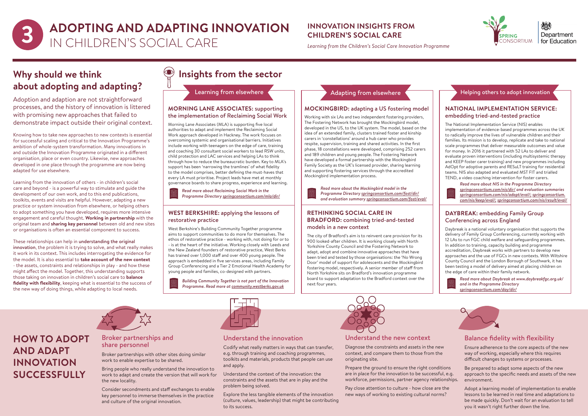# **HOW TO ADOPT AND ADAPT INNOVATION SUCCESSFULLY**

#### Balance fidelity with flexibility

Ensure adherence to the core aspects of the new way of working, especially where this requires difficult changes to systems or processes.

Be prepared to adapt some aspects of the new approach to the specific needs and assets of the new environment.

Adopt a learning model of implementation to enable lessons to be learned in real time and adaptations to be made quickly. Don't wait for an evaluation to tell you it wasn't right further down the line.

#### Understand the new context

Diagnose the constraints and assets in the new context, and compare them to those from the originating site.

Prepare the ground to ensure the right conditions are in place for the innovation to be successful, e.g. workforce, permissions, partner agency relationships.

Pay close attention to culture - how close are the new ways of working to existing cultural norms?



Department for Education

#### Understand the innovation

Codify what really matters in ways that can transfer, e.g. through training and coaching programmes, toolkits and materials, products that people can use and apply.

Understand the context of the innovation: the constraints and the assets that are in play and the problem being solved.

Explore the less tangible elements of the innovation (culture, values, leadership) that might be contributing to its success.



# **Why should we think about adopting and adapting?**

Adoption and adaption are not straightforward processes, and the history of innovation is littered with promising new approaches that failed to demonstrate impact outside their original context.

#### Project examples Conferencing across England **DAYBREAK: embedding Family Group**

Knowing how to take new approaches to new contexts is essential for successful scaling and critical to the Innovation Programme's ambition of whole-system transformation. Many innovations in and outside the Innovation Programme originated in a different organisation, place or even country. Likewise, new approaches developed in one place through the programme are now being adapted for use elsewhere.

Learning from the innovation of others - in children's social care and beyond - is a powerful way to stimulate and guide the development of our own work, and to this end publications, toolkits, events and visits are helpful. However, adapting a new practice or system innovation from elsewhere, or helping others to adopt something you have developed, requires more intensive engagement and careful thought. **Working in partnership** with the original team and **sharing key personnel** between old and new sites or organisations is often an essential component to success.

These relationships can help in understanding the original innovation, the problem it is trying to solve, and what really makes it work in its context. This includes interrogating the evidence for the model. It is also essential to **take account of the new context** - the assets, constraints and relationships in play - and how these might affect the model. Together, this understanding supports those taking on innovation in children's social care to **balance fidelity with flexibility**, keeping what is essential to the success of the new way of doing things, while adapting to local needs.

# **Insights from the sector**

Learning from elsewhere

#### **MORNING LANE ASSOCIATES:** supporting the implementation of Reclaiming Social Work

Morning Lane Associates (MLA) is supporting five local authorities to adapt and implement the Reclaiming Social Work approach developed in Hackney. The work focuses on overcoming systemic and organisational barriers. Initiatives include working with teenagers on the edge of care, training and coaching 30 consultant social workers to lead RSW units, child protection and LAC services and helping LAs to think through how to reduce the bureaucratic burden. Key to MLA's support has been 'narrowing the tramlines' of what fidelity to the model comprises, better defining the must-haves that every LA must prioritise. Project leads have met at monthly governance boards to share progress, experience and learning.

*Read more about Reclaiming Social Work in the Programme Directory [springconsortium.com/mla/dir/](http://springconsortium.com/mla/dir/)*

**ADOPTING AND ADAPTING INNOVATION 3** IN CHILDREN'S SOCIAL CARE

#### **MOCKINGBIRD:** adapting a US fostering model

Working with six LAs and two independent fostering providers, The Fostering Network has brought the Mockingbird model, developed in the US, to the UK system. The model, based on the idea of an extended family, clusters trained foster and kinship carers in 'constellations' around a hub carer who provides respite, supervision, training and shared activities. In the first phase, 18 constellations were developed, comprising 252 carers and 189 children and young people. The Fostering Network have developed a formal partnership with the Mockingbird Family Society as the UK's licensed provider, sharing learning and supporting fostering services through the accredited Mockingbird implementation process.

顺



#### **WEST BERKSHIRE:** applying the lessons of restorative practice

West Berkshire's Building Community Together programme aims to support communities to do more for themselves. The ethos of restorative practice - working with, not doing for or to - is at the heart of the initiative. Working closely with Leeds and the New Zealand founders of restorative practice, West Berks has trained over 1,000 staff and over 400 young people. The approach is embedded in five services areas, including Family Group Conferencing and a Tier 2 Emotional Health Academy for young people and families, co-designed with partners.

*Building Community Together is not part of the Innovation Programme. Read more at [community.westberks.gov.uk](http://community.westberks.gov.uk)*



*Read more about the Mockingbird model in the Programme Directory [springconsortium.com/fost/dir/](http://springconsortium.com/fost/dir/) and evaluation summary [springconsortium.com/fost/eval/](http://springconsortium.com/fost/eval/)*

#### **RETHINKING SOCIAL CARE IN BRADFORD:** combining tried-and-tested models in a new context

The city of Bradford's aim is to reinvent care provision for its 900 looked-after children. It is working closely with North Yorkshire County Council and the Fostering Network to adapt, adopt and combine innovative approaches that have been tried and tested by those organisations: the 'No Wrong Door' model of support for adolescents and the Mockingbird fostering model, respectively. A senior member of staff from North Yorkshire sits on Bradford's innovation programme board to support adaptation to the Bradford context over the next four years.



Daybreak is a national voluntary organisation that supports the delivery of Family Group Conferencing, currently working with 12 LAs to run FGC child welfare and safeguarding programmes. In addition to training, capacity building and programme accreditation, Daybreak works with partners to develop new approaches and the use of FGCs in new contexts. With Wiltshire County Council and the London Borough of Southwark, it has been testing a model of delivery aimed at placing children on the edge of care within their family network.



*Read more about Daybreak at www.daybreakfgc.org.uk/ and in the Programme Directory [springconsortium.com/day/dir/](http://springconsortium.com/day/dir/)*



#### **INNOVATION INSIGHTS FROM CHILDREN'S SOCIAL CARE**

*Learning from the Children's Social Care Innovation Programme*

#### Broker partnerships and share personnel

Broker partnerships with other sites doing similar work to enable expertise to be shared.

Bring people who really understand the innovation to work to adapt and create the version that will work for the new locality.

Consider secondments and staff exchanges to enable key personnel to immerse themselves in the practice and culture of the original innovation.

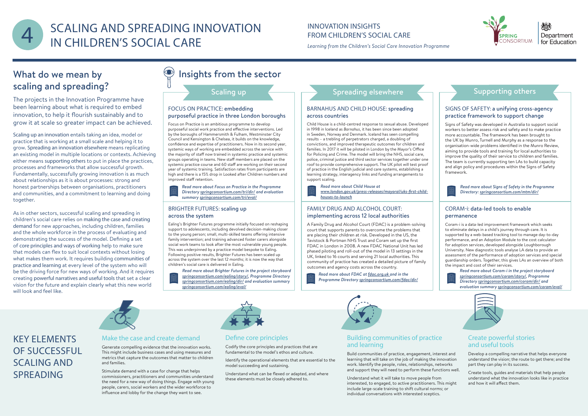# KEY ELEMENTS OF SUCCESSFUL SCALING AND SPREADING

#### Define core principles

Codify the core principles and practices that are fundamental to the model's ethos and culture.

Identify the operational elements that are essential to the model succeeding and sustaining.

Understand what can be flexed or adapted, and where these elements must be closely adhered to.



Department for Education

#### Make the case and create demand

Generate compelling evidence that the innovation works. This might include business cases and using measures and metrics that capture the outcomes that matter to children and families.

Stimulate demand with a case for change that helps commissioners, practitioners and communities understand the need for a new way of doing things. Engage with young people, carers, social workers and the wider workforce to influence and lobby for the change they want to see.

# What do we mean by scaling and spreading?

The projects in the Innovation Programme have been learning about what is required to embed innovation, to help it flourish sustainably and to grow it at scale so greater impact can be achieved.

Scaling up an innovation entails taking an idea, model or practice that is working at a small scale and helping it to grow. Spreading an innovation elsewhere means replicating an existing model in multiple locations or contexts. Achieving either means supporting others to put in place the practices, processes and frameworks that allow successful growth. Fundamentally, successfully growing innovation is as much about relationships as it is about processes: strong and honest partnerships between organisations, practitioners and communities, and a commitment to learning and doing together.



# SCALING AND SPREADING INNOVATION INNOVATION INSIGHTS<br>
IN CHILDREN'S SOCIAL CARE<br>
Legarning from the Children's Social Care Innov IN CHILDREN'S SOCIAL CARE

As in other sectors, successful scaling and spreading in children's social care relies on making the case and creating demand for new approaches, including children, families and the whole workforce in the process of evaluating and demonstrating the success of the model. Defining a set of core principles and ways of working help to make sure that models can flex to suit local contexts without losing what makes them work. It requires building communities of practice and learning at every level of the system who will be the driving force for new ways of working. And it requires creating powerful narratives and useful tools that set a clear vision for the future and explain clearly what this new world will look and feel like.

# Insights from the sector

Scaling up

#### FOCUS ON PRACTICE: embedding purposeful practice in three London boroughs

Focus on Practice is an ambitious programme to develop purposeful social work practice and effective interventions. Led by the boroughs of Hammersmith & Fulham, Westminster City Council and Kensington & Chelsea, it builds on the knowledge, confidence and expertise of practitioners. Now in its second year, systemic ways of working are embedded across the service with the majority of staff now trained in systemic practice and systemic groups operating in teams. New staff members are placed on the systemic practice course and 60 staff are working on their second year of systemic training. Satisfaction rates from participants are high and there is a 15% drop in Looked after Children numbers and improved staff retention.

*Read more about Focus on Practice in the Programme Directory [springconsortium.com/tri/dir/](http://springconsortium.com/tri/dir/) and evaluation summary [springconsortium.com/tri/eval/](http://springconsortium.com/tri/eval/)*

#### BARNAHUS AND CHILD HOUSE: spreading across countries

lem-solving<br>
Coram-i is a data-led improvement framework which seeks to eliminate delays in a child's journey through care. It is supported by a web-based tracking tool to manage day-to-day performance, and an Adoption Module to the cost calculator for adoption services, developed alongside Loughborough University. New diagnostic tools analyse LA data to provide an assessment of the performance of adoption services and special guardianship orders. Together, this gives LAs an overview of both the impact and cost of their services.



Child House is a child-centred response to sexual abuse. Developed in 1998 in Iceland as *Barnahus*, it has been since been adopted in Sweden, Norway and Denmark. Iceland has seen compelling results – a trebling of perpetrators charged, a doubling of convictions, and improved therapeutic outcomes for children and families. In 2017 it will be piloted in London by the Mayor's Office for Policing and Crime. The model will bring the NHS, social care, police, criminal justice and third sector services together under one roof to provide comprehensive support. The UK pilot will test proof of practice in the English judicial and care systems, establishing a learning strategy, interagency links and funding arrangements to support scaling.

#### SIGNS OF SAFETY: a unifying cross-agency practice framework to support change

Signs of Safety was developed in Australia to support social workers to better assess risk and safety and to make practice more accountable. The framework has been brought to the UK by Munro, Turnell and Murphy as a response to the organisation-wide problems identified in the Munro Review, aiming to provide tools and training for local authorities to improve the quality of their service to children and families. The team is currently supporting ten LAs to build capacity and align policy and procedures within the Signs of Safety framework.

#### BRIGHTER FUTURES: scaling up across the system

Ealing's Brighter Futures programme initially focused on reshaping support to adolescents, including devolved decision-making closer to the young person; small, multi-skilled teams offering intensive family intervention; and training advanced foster carers alongside social work teams to look after the most vulnerable young people. This was underpinned by a practice model bespoke to Ealing. Following positive results, Brighter Futures has been scaled up across the system over the last 12 months; it is now the way that children's social care is delivered in Ealing.

*Read more about Brighter Futures in the project storyboard [springconsortium.com/ealing/story/](http://springconsortium.com/ealing/story/), Programme Directory [springconsortium.com/ealing/dir/](http://springconsortium.com/ealing/dir/) and evaluation summary [springconsortium.com/ealing/eval/](http://springconsortium.com/ealing/eval/)*

### Spreading elsewhere  $\leftarrow$  Supporting others

*Read more about Child House at* 

*[www.london.gov.uk/press-releases/mayoral/uks-first-child](http://www.london.gov.uk/press-releases/mayoral/uks-first-child-houses-to-launch)[houses-to-launch](http://www.london.gov.uk/press-releases/mayoral/uks-first-child-houses-to-launch)*

#### FAMILY DRUG AND ALCOHOL COURT: implementing across 12 local authorities

A Family Drug and Alcohol Court (FDAC) is a problem-solving court that supports parents to overcome the problems that are placing their children at risk. Developed in the US, the Tavistock & Portman NHS Trust and Coram set up the first FDAC in London in 2008. A new FDAC National Unit has led phased piloting and roll-out of the model in 13 settings in the UK, linked to 16 courts and serving 21 local authorities. This community of practice has created a detailed picture of family outcomes and agency costs across the country.

*Read more about FDAC at [fdac.org.uk](http://fdac.org.uk/) and in the Programme Directory [springconsortium.com/fdac/dir/](http://springconsortium.com/fdac/dir/)*



#### CORAM-i: data-led tools to enable

#### permanence

*Read more about Coram-i in the project storyboard [springconsortium.com/coram/story/,](http://springconsortium.com/coram/story/) Programme Directory [springconsortium.com/coram/dir/](http://springconsortium.com/coram/dir/) and evaluation summary [springconsortium.com/coram/eval/](http://springconsortium.com/coram/eval/)*



# INNOVATION INSIGHTS

*Learning from the Children's Social Care Innovation Programme*

*Read more about Signs of Safety in the Programme Directory: [springconsortium.com/mtm/dir/](http://springconsortium.com/mtm/dir/)*

#### Building communities of practice and learning

Build communities of practice, engagement, interest and learning that will take on the job of making the innovation work. Identify the people, roles, relationships, networks and support they will need to perform these functions well.

Understand what it will take to move people from interested, to engaged, to active practitioners. This might include large-scale training to shift cultural norms; or individual conversations with interested sceptics.

#### Create powerful stories and useful tools

#### Develop a compelling narrative that helps everyone understand the vision; the route to get there; and the part they can play in its success.

Create tools, guides and materials that help people understand what the innovation looks like in practice and how it will affect them.